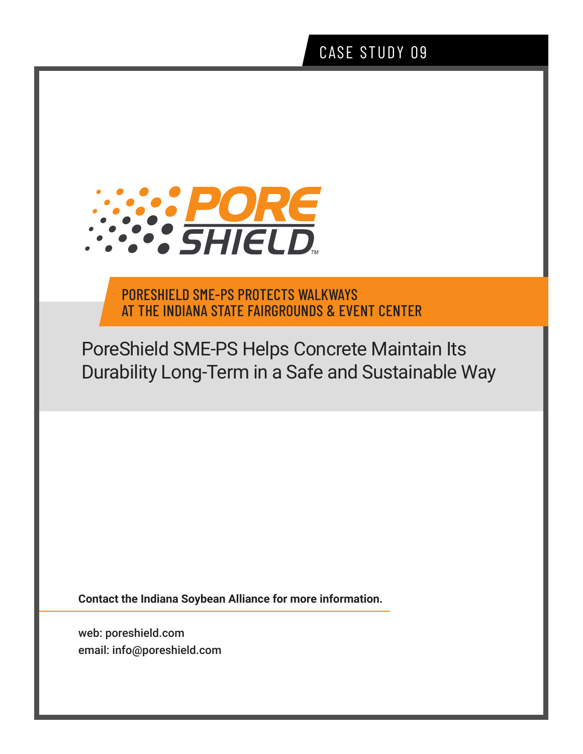# CASE STUDY 09



PORESHIELD SME-PS PROTECTS WALKWAYS AT THE INDIANA STATE FAIRGROUNDS & EVENT CENTER

PoreShield SME-PS Helps Concrete Maintain Its Durability Long-Term in a Safe and Sustainable Way

**Contact the Indiana Soybean Alliance for more information.**

web: poreshield.com email: info@poreshield.com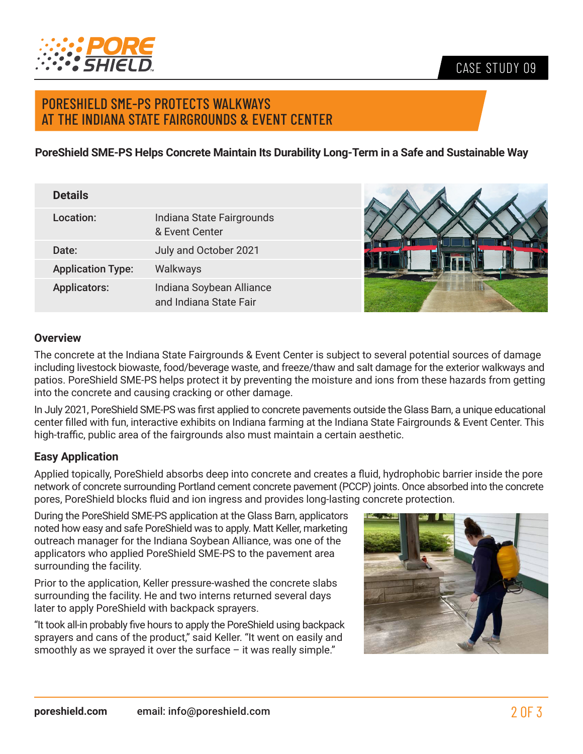

## CASE STUDY 09

# PORESHIELD SME-PS PROTECTS WALKWAYS AT THE INDIANA STATE FAIRGROUNDS & EVENT CENTER

**PoreShield SME-PS Helps Concrete Maintain Its Durability Long-Term in a Safe and Sustainable Way** 

| <b>Details</b>           |                                                    |  |
|--------------------------|----------------------------------------------------|--|
| Location:                | Indiana State Fairgrounds<br>& Event Center        |  |
| Date:                    | July and October 2021                              |  |
| <b>Application Type:</b> | Walkways                                           |  |
| <b>Applicators:</b>      | Indiana Soybean Alliance<br>and Indiana State Fair |  |

#### **Overview**

The concrete at the Indiana State Fairgrounds & Event Center is subject to several potential sources of damage including livestock biowaste, food/beverage waste, and freeze/thaw and salt damage for the exterior walkways and patios. PoreShield SME-PS helps protect it by preventing the moisture and ions from these hazards from getting into the concrete and causing cracking or other damage.

In July 2021, PoreShield SME-PS was first applied to concrete pavements outside the Glass Barn, a unique educational center filled with fun, interactive exhibits on Indiana farming at the Indiana State Fairgrounds & Event Center. This high-traffic, public area of the fairgrounds also must maintain a certain aesthetic.

#### **Easy Application**

Applied topically, PoreShield absorbs deep into concrete and creates a fluid, hydrophobic barrier inside the pore network of concrete surrounding Portland cement concrete pavement (PCCP) joints. Once absorbed into the concrete pores, PoreShield blocks fluid and ion ingress and provides long-lasting concrete protection.

During the PoreShield SME-PS application at the Glass Barn, applicators noted how easy and safe PoreShield was to apply. Matt Keller, marketing outreach manager for the Indiana Soybean Alliance, was one of the applicators who applied PoreShield SME-PS to the pavement area surrounding the facility.

Prior to the application, Keller pressure-washed the concrete slabs surrounding the facility. He and two interns returned several days later to apply PoreShield with backpack sprayers.

"It took all-in probably five hours to apply the PoreShield using backpack sprayers and cans of the product," said Keller. "It went on easily and smoothly as we sprayed it over the surface  $-$  it was really simple."